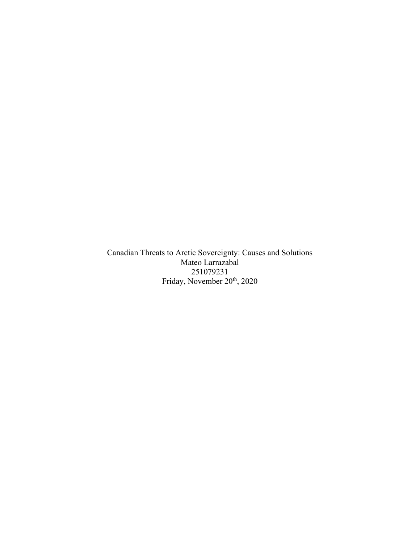Canadian Threats to Arctic Sovereignty: Causes and Solutions Mateo Larrazabal 251079231 Friday, November 20<sup>th</sup>, 2020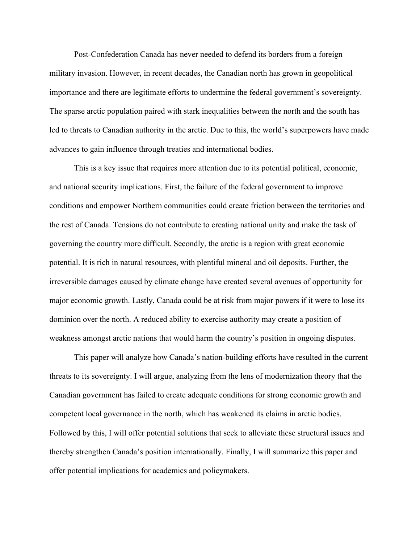Post-Confederation Canada has never needed to defend its borders from a foreign military invasion. However, in recent decades, the Canadian north has grown in geopolitical importance and there are legitimate efforts to undermine the federal government's sovereignty. The sparse arctic population paired with stark inequalities between the north and the south has led to threats to Canadian authority in the arctic. Due to this, the world's superpowers have made advances to gain influence through treaties and international bodies.

This is a key issue that requires more attention due to its potential political, economic, and national security implications. First, the failure of the federal government to improve conditions and empower Northern communities could create friction between the territories and the rest of Canada. Tensions do not contribute to creating national unity and make the task of governing the country more difficult. Secondly, the arctic is a region with great economic potential. It is rich in natural resources, with plentiful mineral and oil deposits. Further, the irreversible damages caused by climate change have created several avenues of opportunity for major economic growth. Lastly, Canada could be at risk from major powers if it were to lose its dominion over the north. A reduced ability to exercise authority may create a position of weakness amongst arctic nations that would harm the country's position in ongoing disputes.

This paper will analyze how Canada's nation-building efforts have resulted in the current threats to its sovereignty. I will argue, analyzing from the lens of modernization theory that the Canadian government has failed to create adequate conditions for strong economic growth and competent local governance in the north, which has weakened its claims in arctic bodies. Followed by this, I will offer potential solutions that seek to alleviate these structural issues and thereby strengthen Canada's position internationally. Finally, I will summarize this paper and offer potential implications for academics and policymakers.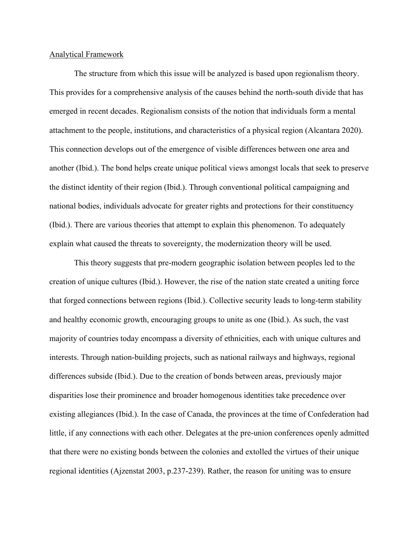## Analytical Framework

The structure from which this issue will be analyzed is based upon regionalism theory. This provides for a comprehensive analysis of the causes behind the north-south divide that has emerged in recent decades. Regionalism consists of the notion that individuals form a mental attachment to the people, institutions, and characteristics of a physical region (Alcantara 2020). This connection develops out of the emergence of visible differences between one area and another (Ibid.). The bond helps create unique political views amongst locals that seek to preserve the distinct identity of their region (Ibid.). Through conventional political campaigning and national bodies, individuals advocate for greater rights and protections for their constituency (Ibid.). There are various theories that attempt to explain this phenomenon. To adequately explain what caused the threats to sovereignty, the modernization theory will be used.

This theory suggests that pre-modern geographic isolation between peoples led to the creation of unique cultures (Ibid.). However, the rise of the nation state created a uniting force that forged connections between regions (Ibid.). Collective security leads to long-term stability and healthy economic growth, encouraging groups to unite as one (Ibid.). As such, the vast majority of countries today encompass a diversity of ethnicities, each with unique cultures and interests. Through nation-building projects, such as national railways and highways, regional differences subside (Ibid.). Due to the creation of bonds between areas, previously major disparities lose their prominence and broader homogenous identities take precedence over existing allegiances (Ibid.). In the case of Canada, the provinces at the time of Confederation had little, if any connections with each other. Delegates at the pre-union conferences openly admitted that there were no existing bonds between the colonies and extolled the virtues of their unique regional identities (Ajzenstat 2003, p.237-239). Rather, the reason for uniting was to ensure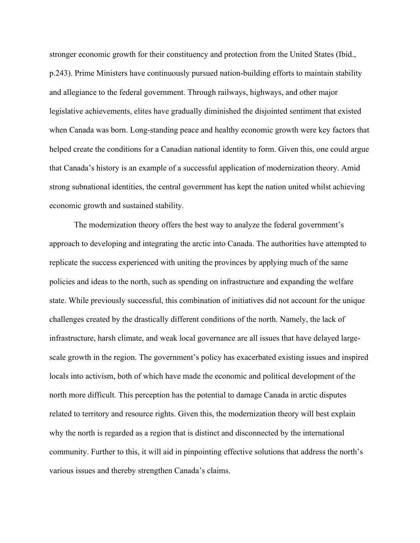stronger economic growth for their constituency and protection from the United States (Ibid., p.243). Prime Ministers have continuously pursued nation-building efforts to maintain stability and allegiance to the federal government. Through railways, highways, and other major legislative achievements, elites have gradually diminished the disjointed sentiment that existed when Canada was born. Long-standing peace and healthy economic growth were key factors that helped create the conditions for a Canadian national identity to form. Given this, one could argue that Canada's history is an example of a successful application of modernization theory. Amid strong subnational identities, the central government has kept the nation united whilst achieving economic growth and sustained stability.

The modernization theory offers the best way to analyze the federal government's approach to developing and integrating the arctic into Canada. The authorities have attempted to replicate the success experienced with uniting the provinces by applying much of the same policies and ideas to the north, such as spending on infrastructure and expanding the welfare state. While previously successful, this combination of initiatives did not account for the unique challenges created by the drastically different conditions of the north. Namely, the lack of infrastructure, harsh climate, and weak local governance are all issues that have delayed largescale growth in the region. The government's policy has exacerbated existing issues and inspired locals into activism, both of which have made the economic and political development of the north more difficult. This perception has the potential to damage Canada in arctic disputes related to territory and resource rights. Given this, the modernization theory will best explain why the north is regarded as a region that is distinct and disconnected by the international community. Further to this, it will aid in pinpointing effective solutions that address the north's various issues and thereby strengthen Canada's claims.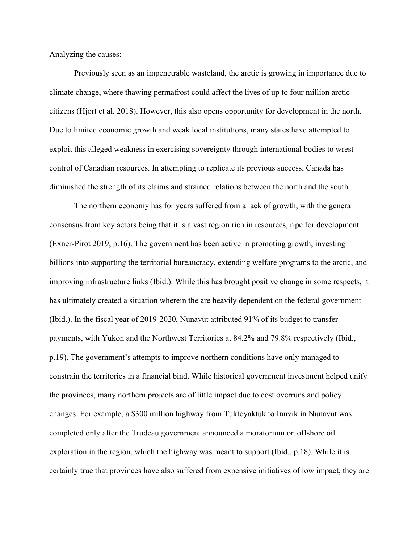Analyzing the causes:

Previously seen as an impenetrable wasteland, the arctic is growing in importance due to climate change, where thawing permafrost could affect the lives of up to four million arctic citizens (Hjort et al. 2018). However, this also opens opportunity for development in the north. Due to limited economic growth and weak local institutions, many states have attempted to exploit this alleged weakness in exercising sovereignty through international bodies to wrest control of Canadian resources. In attempting to replicate its previous success, Canada has diminished the strength of its claims and strained relations between the north and the south.

The northern economy has for years suffered from a lack of growth, with the general consensus from key actors being that it is a vast region rich in resources, ripe for development (Exner-Pirot 2019, p.16). The government has been active in promoting growth, investing billions into supporting the territorial bureaucracy, extending welfare programs to the arctic, and improving infrastructure links (Ibid.). While this has brought positive change in some respects, it has ultimately created a situation wherein the are heavily dependent on the federal government (Ibid.). In the fiscal year of 2019-2020, Nunavut attributed 91% of its budget to transfer payments, with Yukon and the Northwest Territories at 84.2% and 79.8% respectively (Ibid., p.19). The government's attempts to improve northern conditions have only managed to constrain the territories in a financial bind. While historical government investment helped unify the provinces, many northern projects are of little impact due to cost overruns and policy changes. For example, a \$300 million highway from Tuktoyaktuk to Inuvik in Nunavut was completed only after the Trudeau government announced a moratorium on offshore oil exploration in the region, which the highway was meant to support (Ibid., p.18). While it is certainly true that provinces have also suffered from expensive initiatives of low impact, they are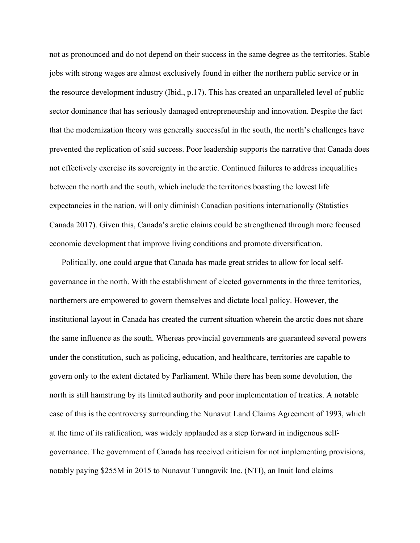not as pronounced and do not depend on their success in the same degree as the territories. Stable jobs with strong wages are almost exclusively found in either the northern public service or in the resource development industry (Ibid., p.17). This has created an unparalleled level of public sector dominance that has seriously damaged entrepreneurship and innovation. Despite the fact that the modernization theory was generally successful in the south, the north's challenges have prevented the replication of said success. Poor leadership supports the narrative that Canada does not effectively exercise its sovereignty in the arctic. Continued failures to address inequalities between the north and the south, which include the territories boasting the lowest life expectancies in the nation, will only diminish Canadian positions internationally (Statistics Canada 2017). Given this, Canada's arctic claims could be strengthened through more focused economic development that improve living conditions and promote diversification.

Politically, one could argue that Canada has made great strides to allow for local selfgovernance in the north. With the establishment of elected governments in the three territories, northerners are empowered to govern themselves and dictate local policy. However, the institutional layout in Canada has created the current situation wherein the arctic does not share the same influence as the south. Whereas provincial governments are guaranteed several powers under the constitution, such as policing, education, and healthcare, territories are capable to govern only to the extent dictated by Parliament. While there has been some devolution, the north is still hamstrung by its limited authority and poor implementation of treaties. A notable case of this is the controversy surrounding the Nunavut Land Claims Agreement of 1993, which at the time of its ratification, was widely applauded as a step forward in indigenous selfgovernance. The government of Canada has received criticism for not implementing provisions, notably paying \$255M in 2015 to Nunavut Tunngavik Inc. (NTI), an Inuit land claims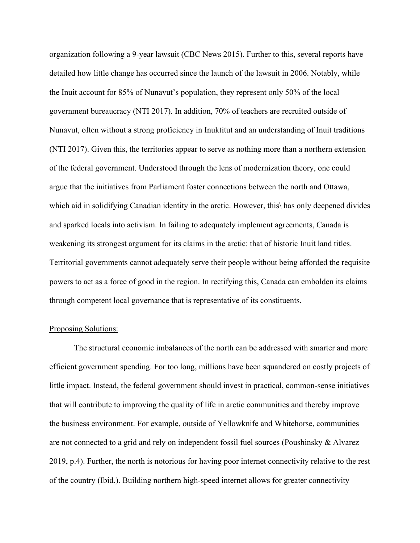organization following a 9-year lawsuit (CBC News 2015). Further to this, several reports have detailed how little change has occurred since the launch of the lawsuit in 2006. Notably, while the Inuit account for 85% of Nunavut's population, they represent only 50% of the local government bureaucracy (NTI 2017). In addition, 70% of teachers are recruited outside of Nunavut, often without a strong proficiency in Inuktitut and an understanding of Inuit traditions (NTI 2017). Given this, the territories appear to serve as nothing more than a northern extension of the federal government. Understood through the lens of modernization theory, one could argue that the initiatives from Parliament foster connections between the north and Ottawa, which aid in solidifying Canadian identity in the arctic. However, this\ has only deepened divides and sparked locals into activism. In failing to adequately implement agreements, Canada is weakening its strongest argument for its claims in the arctic: that of historic Inuit land titles. Territorial governments cannot adequately serve their people without being afforded the requisite powers to act as a force of good in the region. In rectifying this, Canada can embolden its claims through competent local governance that is representative of its constituents.

## Proposing Solutions:

The structural economic imbalances of the north can be addressed with smarter and more efficient government spending. For too long, millions have been squandered on costly projects of little impact. Instead, the federal government should invest in practical, common-sense initiatives that will contribute to improving the quality of life in arctic communities and thereby improve the business environment. For example, outside of Yellowknife and Whitehorse, communities are not connected to a grid and rely on independent fossil fuel sources (Poushinsky & Alvarez 2019, p.4). Further, the north is notorious for having poor internet connectivity relative to the rest of the country (Ibid.). Building northern high-speed internet allows for greater connectivity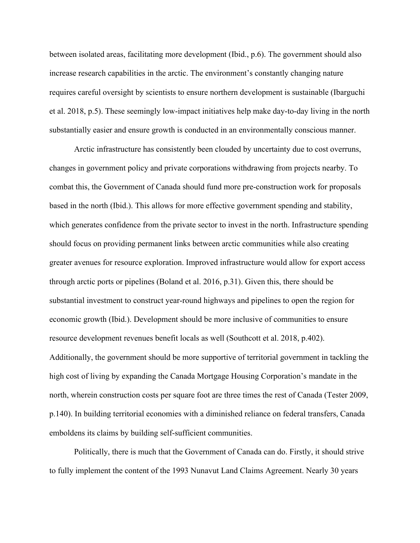between isolated areas, facilitating more development (Ibid., p.6). The government should also increase research capabilities in the arctic. The environment's constantly changing nature requires careful oversight by scientists to ensure northern development is sustainable (Ibarguchi et al. 2018, p.5). These seemingly low-impact initiatives help make day-to-day living in the north substantially easier and ensure growth is conducted in an environmentally conscious manner.

Arctic infrastructure has consistently been clouded by uncertainty due to cost overruns, changes in government policy and private corporations withdrawing from projects nearby. To combat this, the Government of Canada should fund more pre-construction work for proposals based in the north (Ibid.). This allows for more effective government spending and stability, which generates confidence from the private sector to invest in the north. Infrastructure spending should focus on providing permanent links between arctic communities while also creating greater avenues for resource exploration. Improved infrastructure would allow for export access through arctic ports or pipelines (Boland et al. 2016, p.31). Given this, there should be substantial investment to construct year-round highways and pipelines to open the region for economic growth (Ibid.). Development should be more inclusive of communities to ensure resource development revenues benefit locals as well (Southcott et al. 2018, p.402). Additionally, the government should be more supportive of territorial government in tackling the high cost of living by expanding the Canada Mortgage Housing Corporation's mandate in the north, wherein construction costs per square foot are three times the rest of Canada (Tester 2009, p.140). In building territorial economies with a diminished reliance on federal transfers, Canada emboldens its claims by building self-sufficient communities.

Politically, there is much that the Government of Canada can do. Firstly, it should strive to fully implement the content of the 1993 Nunavut Land Claims Agreement. Nearly 30 years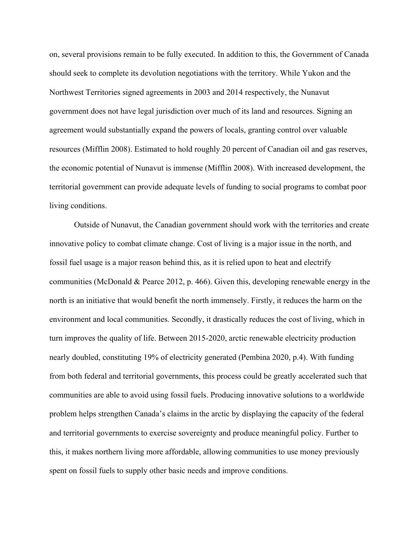on, several provisions remain to be fully executed. In addition to this, the Government of Canada should seek to complete its devolution negotiations with the territory. While Yukon and the Northwest Territories signed agreements in 2003 and 2014 respectively, the Nunavut government does not have legal jurisdiction over much of its land and resources. Signing an agreement would substantially expand the powers of locals, granting control over valuable resources (Mifflin 2008). Estimated to hold roughly 20 percent of Canadian oil and gas reserves, the economic potential of Nunavut is immense (Mifflin 2008). With increased development, the territorial government can provide adequate levels of funding to social programs to combat poor living conditions.

Outside of Nunavut, the Canadian government should work with the territories and create innovative policy to combat climate change. Cost of living is a major issue in the north, and fossil fuel usage is a major reason behind this, as it is relied upon to heat and electrify communities (McDonald & Pearce 2012, p. 466). Given this, developing renewable energy in the north is an initiative that would benefit the north immensely. Firstly, it reduces the harm on the environment and local communities. Secondly, it drastically reduces the cost of living, which in turn improves the quality of life. Between 2015-2020, arctic renewable electricity production nearly doubled, constituting 19% of electricity generated (Pembina 2020, p.4). With funding from both federal and territorial governments, this process could be greatly accelerated such that communities are able to avoid using fossil fuels. Producing innovative solutions to a worldwide problem helps strengthen Canada's claims in the arctic by displaying the capacity of the federal and territorial governments to exercise sovereignty and produce meaningful policy. Further to this, it makes northern living more affordable, allowing communities to use money previously spent on fossil fuels to supply other basic needs and improve conditions.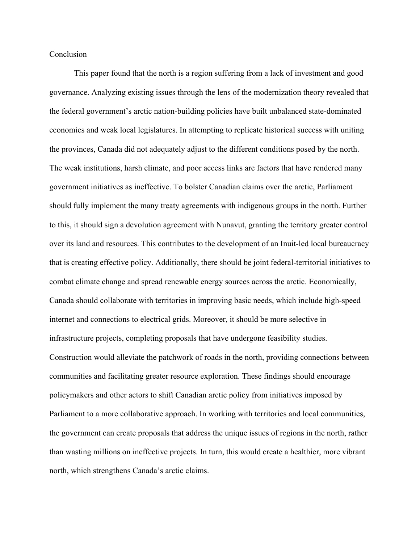## Conclusion

This paper found that the north is a region suffering from a lack of investment and good governance. Analyzing existing issues through the lens of the modernization theory revealed that the federal government's arctic nation-building policies have built unbalanced state-dominated economies and weak local legislatures. In attempting to replicate historical success with uniting the provinces, Canada did not adequately adjust to the different conditions posed by the north. The weak institutions, harsh climate, and poor access links are factors that have rendered many government initiatives as ineffective. To bolster Canadian claims over the arctic, Parliament should fully implement the many treaty agreements with indigenous groups in the north. Further to this, it should sign a devolution agreement with Nunavut, granting the territory greater control over its land and resources. This contributes to the development of an Inuit-led local bureaucracy that is creating effective policy. Additionally, there should be joint federal-territorial initiatives to combat climate change and spread renewable energy sources across the arctic. Economically, Canada should collaborate with territories in improving basic needs, which include high-speed internet and connections to electrical grids. Moreover, it should be more selective in infrastructure projects, completing proposals that have undergone feasibility studies. Construction would alleviate the patchwork of roads in the north, providing connections between communities and facilitating greater resource exploration. These findings should encourage policymakers and other actors to shift Canadian arctic policy from initiatives imposed by Parliament to a more collaborative approach. In working with territories and local communities, the government can create proposals that address the unique issues of regions in the north, rather than wasting millions on ineffective projects. In turn, this would create a healthier, more vibrant north, which strengthens Canada's arctic claims.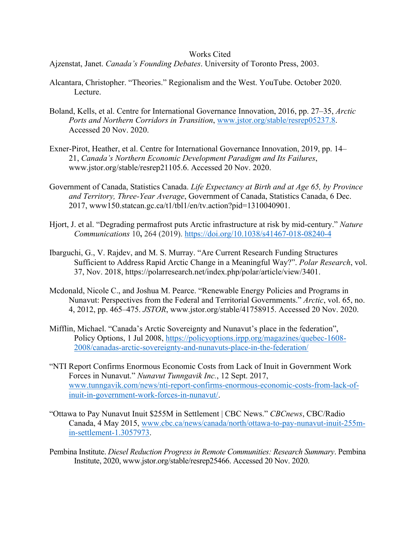## Works Cited

Ajzenstat, Janet. *Canada's Founding Debates*. University of Toronto Press, 2003.

- Alcantara, Christopher. "Theories." Regionalism and the West. YouTube. October 2020. Lecture.
- Boland, Kells, et al. Centre for International Governance Innovation, 2016, pp. 27–35, *Arctic Ports and Northern Corridors in Transition*, www.jstor.org/stable/resrep05237.8. Accessed 20 Nov. 2020.
- Exner-Pirot, Heather, et al. Centre for International Governance Innovation, 2019, pp. 14– 21, *Canada's Northern Economic Development Paradigm and Its Failures*, www.jstor.org/stable/resrep21105.6. Accessed 20 Nov. 2020.
- Government of Canada, Statistics Canada. *Life Expectancy at Birth and at Age 65, by Province and Territory, Three-Year Average*, Government of Canada, Statistics Canada, 6 Dec. 2017, www150.statcan.gc.ca/t1/tbl1/en/tv.action?pid=1310040901.
- Hjort, J. et al. "Degrading permafrost puts Arctic infrastructure at risk by mid-century." *Nature Communications* 10**,** 264 (2019). https://doi.org/10.1038/s41467-018-08240-4
- Ibarguchi, G., V. Rajdev, and M. S. Murray. "Are Current Research Funding Structures Sufficient to Address Rapid Arctic Change in a Meaningful Way?". *Polar Research*, vol. 37, Nov. 2018, https://polarresearch.net/index.php/polar/article/view/3401.
- Mcdonald, Nicole C., and Joshua M. Pearce. "Renewable Energy Policies and Programs in Nunavut: Perspectives from the Federal and Territorial Governments." *Arctic*, vol. 65, no. 4, 2012, pp. 465–475. *JSTOR*, www.jstor.org/stable/41758915. Accessed 20 Nov. 2020.
- Mifflin, Michael. "Canada's Arctic Sovereignty and Nunavut's place in the federation", Policy Options, 1 Jul 2008, https://policyoptions.irpp.org/magazines/quebec-1608- 2008/canadas-arctic-sovereignty-and-nunavuts-place-in-the-federation/
- "NTI Report Confirms Enormous Economic Costs from Lack of Inuit in Government Work Forces in Nunavut." *Nunavut Tunngavik Inc.*, 12 Sept. 2017, www.tunngavik.com/news/nti-report-confirms-enormous-economic-costs-from-lack-ofinuit-in-government-work-forces-in-nunavut/.
- "Ottawa to Pay Nunavut Inuit \$255M in Settlement | CBC News." *CBCnews*, CBC/Radio Canada, 4 May 2015, www.cbc.ca/news/canada/north/ottawa-to-pay-nunavut-inuit-255min-settlement-1.3057973.
- Pembina Institute. *Diesel Reduction Progress in Remote Communities: Research Summary*. Pembina Institute, 2020, www.jstor.org/stable/resrep25466. Accessed 20 Nov. 2020.